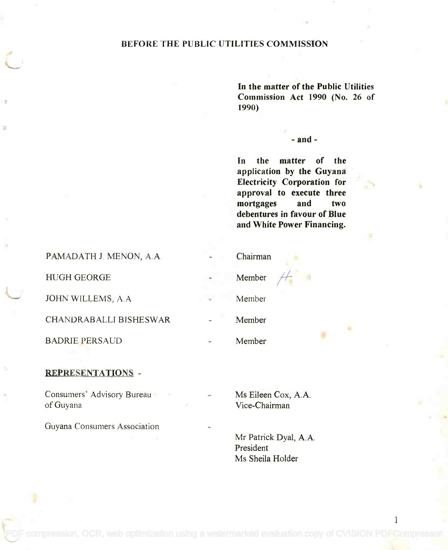## BEFORE THE PUBLIC UTILITIES COMMISSION

In the matter of the Public Utilities **In the matter of the Public Utilities** Commission Act 1990 (No. 26 of **Commission Act 1990 (No. 26 of** 1990) **1990)**

#### - and -

In the matter of the **In the matter of the** application by the Guyana **application by the Guyana** Electricity Corporation for **Electricity Corporation for** approval to execute three **approval to execute three** mortgages and two **mortgages and two** debentures in favour of Blue **debentures in favour of Blue** and White Power Financing. **and White Power Financing.**

| Member<br><b>HUGH GEORGE</b>            |  |
|-----------------------------------------|--|
|                                         |  |
| JOHN WILLEMS, A.A.<br>Member            |  |
| <b>CHANDRABALLI BISHESWAR</b><br>Member |  |
| <b>BADRIE PERSAUD</b><br>Member         |  |

## REPRESENTATIONS -

Consumers' Advisory Bureau Ms Eileen Cox, A.A. of Guyana Vice-Chairman Vice-Chairman of Guyana

Guyana Consumers Association

Ms Eileen Cox, A.A.

Mr Patrick Dyal, A.A. President President Ms Sheila Holder Ms Sheila Holder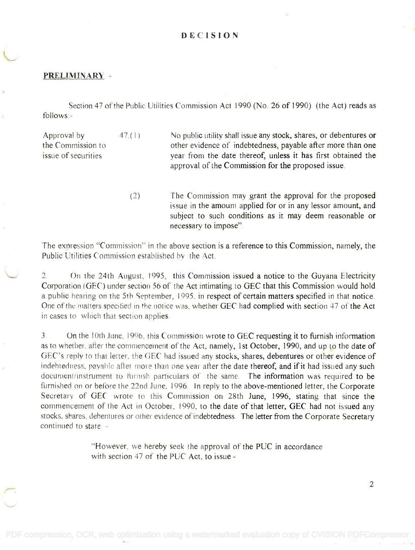### DECISION

#### PRELIMINARY -

Section 47 of the Public Utilities Commission Act 1990 (No. 26 of 1990) (the Act) reads as Section 47 of the Public Utilities Commission Act 1990 (No. 26 of 1990) (the Act) reads as follows: - follows:-

Approval by Approval by the Commission to the Commission to issue of securities issue of securities 47.(1) No public utility shall issue any stock, shares, or debentures or other evidence of indebtedness, payable after more than one year from the date thereof, unless it has first obtained the year from the date thereof, unless it has first obtained the approval of the Commission for the proposed issue. approval of the Commission for the proposed issue

> (2) The Commission may grant the approval for the proposed issue in the amount applied for or in any lessor amount, and issue in the amount applied for or in any lessor amount, and subject to such conditions as it may deem reasonable or subject to such conditions as it may deem reasonable or necessary to impose". necessary to impose".

The expression "Commission" in the above section is a reference to this Commission, namely, the The expression "Commission" in the above section is a reference to this Commission, namely, the Public Utilities Commission established by the Act. Public Utilities Commission established by the Act

2. On the 24th August, 1995, this Commission issued a notice to the Guyana Electricity 2. On the 24th August, 1995, this Commission issued a notice to the Guyana Electricity Corporation (GEC) under section 56 of the Act intimating to GEC that this Commission would hold a public hearing on the 5th September, 1995, in respect of certain matters specified in that notice. a public hearing on the 5th September, 1995, in respect of certain matters specified in that notice. One of the matters specified in the notice was, whether GEC had complied with section 47 of the Act in cases to which that section applies. in cases to which that section applies.

3. On the 10th June, 1996, this Commission wrote to GEC requesting it to furnish information 3. On the 10th June, 1996, this Commission wrote to GEC requesting it to furnish information as to whether, after the commencement of the Act, namely, 1st October, 1990, and up to the date of GEC's reply to that letter, the GEC had issued any stocks, shares, debentures or other evidence of indebtedness, payable after more than one year after the date thereof, and if it had issued any such document/instrument to furnish particulars of the same. The information was required to be furnished on or before the 22nd June, 1996. In reply to the above-mentioned letter, the Corporate furnished on or before the 22nd June, 1996. In reply to the above-mentioned letter, the Corporate Secretary of GEC wrote to this Commission on 28th June, 1996, stating that since the commencement of the Act in October, 1990, to the date of that letter, GEC had not issued any stocks, shares, debentures or other evidence of indebtedness. The letter from the Corporate Secretary continued to state  $\sim$ 

> "However, we hereby seek the approval of the PUC in accordance "However, we hereby seek the approval of the PUC in accordance with section  $47$  of the PUC Act, to issue -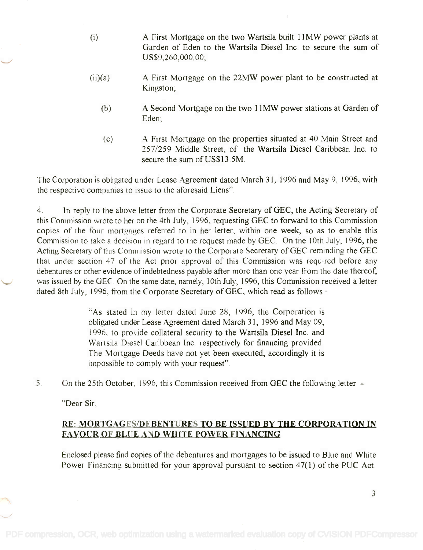- (i) A First Mortgage on the two Wartsila built 11MW power plants at A First Mortgage on the two Wartsila built IIMW power plants at Garden of Eden to the Wartsila Diesel Inc. to secure the sum of Garden of Eden to the Wartsila Diesel Inc. to secure the sum of US\$9,260,000.00; US\$9,260,000.00;
- (ii)(a) A First Mortgage on the 22MW power plant to be constructed at A First Mortgage on the 22MW power plant to be constructed at Kingston; Kingston;
	- (b) A Second Mortgage on the two 11MW power stations at Garden of A Second Mortgage on the two IIMW power stations at Garden of Eden; Eden;
	- (c) A First Mortgage on the properties situated at 40 Main Street and A First Mortgage on the properties situated at 40 Main Street and 257/259 Middle Street, of the Wartsila Diesel Caribbean Inc to 257/259 Middle Street, of the Wartsila Diesel Caribbean Inc. to secure the sum of US\$13.5M. secure the sum of US\$13. SM.

The Corporation is obligated under Lease Agreement dated March 31, 1996 and May 9, 1996, with The Corporation is obligated under Lease Agreement dated March 31, 1996 and May 9, 1996, with the respective companies to issue to the aforesaid Liens".

4. In reply to the above letter from the Corporate Secretary of GEC, the Acting Secretary of 4. In reply to the above letter from the Corporate Secretary of GEC, the Acting Secretary of this Commission wrote to her on the 4th July, 1996, requesting GEC to forward to this Commission this Commission wrote to her on the 4th July, 1996, requesting GEC to forward to this Commission copies of the four mortgages referred to in her letter, within one week, so as to enable this copies of the four mortgages referred to in her letter, within one week, so as to enable this Commission to take a decision in regard to the request made by GEC. On the 10th July, 1996, the Acting Secretary of this Commission wrote to the Corporate Secretary of GEC reminding the GEC that under section 47 of the Act prior approval of this Commission was required before any that under section 47 of the Act prior approval of this Commission was required before any debentures or other evidence of indebtedness payable after more than one year from the date thereof, debentures or other evidence of indebtedness payable after more than one year from the date thereof, was issued by the GEC. On the same date, namely, 10th July, 1996, this Commission received a letter dated 8th July, 1996, from the Corporate Secretary of GEC, which read as follows -

> "As stated in my letter dated June 28, 1996, the Corporation is "As stated in my letter dated June 28, 1996, the Corporation is obligated under Lease Agreement dated March 31, 1996 and May 09, obligated under Lease Agreement dated March 3 1, 1996 and May 09, 1996, to provide collateral security to the Wartsila Diesel Inc. and 1996, to provide collateral security to the Wartsila Diesel Inc. and Wartsila Diesel Caribbean Inc. respectively for financing provided. Wartsila Diesel Caribbean Inc. respectively for financing provided. The Mortgage Deeds have not yet been executed, accordingly it is The Mortgage Deeds have not yet been executed, accordingly it is impossible to comply with your request". impossible to comply with your request"

5. On the 25th October, 1996, this Commission received from GEC the following letter -

"Dear Sir,

# RE: MORTGAGES/DEBENTURES TO BE ISSUED BY THE CORPORATION IN RE: MORTGAGES/DEBENTURES TO BE ISSUED BY THE CORPORA TION IN FAVOUR OF BLUE AND WHITE POWER FINANCING FAYOUR OF BLUE A D WHITE POWER FINANCING

Enclosed please find copies of the debentures and mortgages to be issued to Blue and White Enclosed please find copies of the debentures and mortgages to be issued to Blue and White Power Financing submitted for your approval pursuant to section 47(1) of the PUC Act. Power Financing submitted for your approval pursuant to section 47(1) of the PUC Act.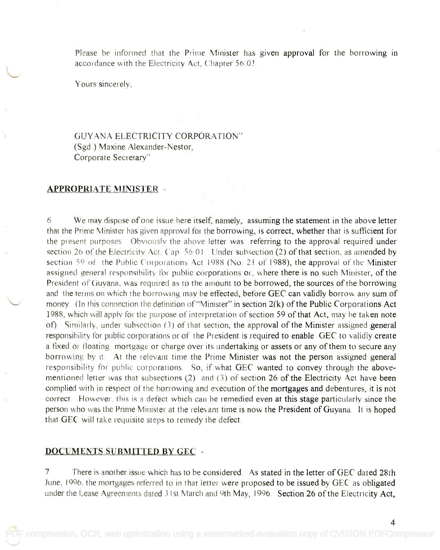Please be informed that the Prime Minister has given approval for the borrowing in accordance with the Electricity Act, Chapter 56:01.

Yours sincerely,

GUYANA ELECTRICITY CORPORATION'' (Sgd.) Maxine Alexander-Nestor, Corporate Secretary" Corporate Secretary"

#### APPROPRIATE MINISTER -

6. We may dispose of one issue here itself, namely, assuming the statement in the above letter 6. We may dispose of one issue here itself, namely, assuming the statement in the above letter that the Prime Minister has given approval for the borrowing, is correct, whether that is sufficient for the present purposes Obviously the above letter was referring to the approval required under section 26 of the Electricity Act, Cap 56:01. Under subsection (2) of that section, as amended by section 59 of the Public Corporations Act 1988 (No. 21 of 1988), the approval of the Minister assigned general responsibility for public corporations or, where there is no such Minister, of the President of Guyana, was required as to the amount to be borrowed, the sources of the borrowing President of Guyana, was required as to the amount to be borrowed, the sources of the borrowing and the terms on which the borrowing may be effected, before GEC can validly borrow any sum of money. (In this connection the definition of "Minister" in section  $2(k)$  of the Public Corporations Act 1988, which will apply for the purpose of interpretation of section 59 of that Act, may be taken note of). Similarly, under subsection (3) of that section, the approval of the Minister assigned general responsibility for public corporations or of the President is required to enable GEC to validly create responsibility for public corporations or of the President is required to enable GEC to validly create a fixed or floating mortgage or charge over its undertaking or assets or any of them to secure any a fixed or floating mortgage or charge over its undertaking or assets or any of them to secure any borrowing by it. At the relevant time the Prime Minister was not the person assigned general responsibility for public corporations. So, if what GEC wanted to convey through the abovementioned letter was that subsections (2) and (3) of section 26 of the Electricity Act have been complied with in respect of the borrowing and execution of the mortgages and debentures, it is not complied with in respect of the borrowing and execution of the mortgages and debentures, it is not correct. However, this is a defect which can be remedied even at this stage particularly since the person who was the Prime Minister at the relevant time is now the President of Guyana. It is hoped that GEC will take requisite steps to remedy the defect. that GEC will take requisite steps to remedy the defect.

#### DOCUMENTS SUBMITTED BY GEC

7. There is another issue which has to be considered. As stated in the letter of GEC dated 28th June, 1996, the mortgages referred to in that letter were proposed to be issued by GEC as obligated under the Lease Agreements dated 31st March and 9th May, 1996. Section 26 of the Electricity Act,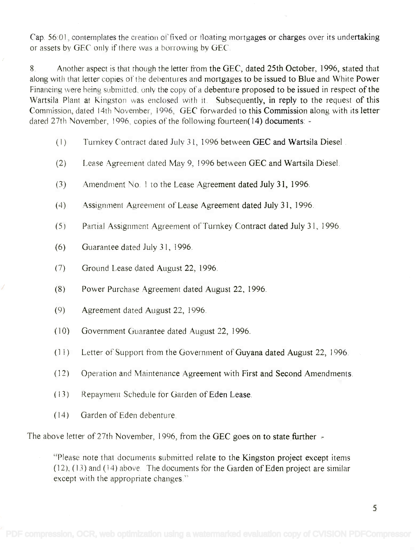Cap. 56:01, contemplates the creation of fixed or floating mortgages or charges over its undertaking Cap 56:01, contemplates the creation of fixed or floating mortgages or charges over its undertaking or assets by GEC only if there was a borrowing by GEC.

8. Another aspect is that though the letter from the GEC, dated 25th October, 1996, stated that along with that letter copies of the debentures and mortgages to be issued to Blue and White Power along with that letter copies of the debentures and mortgages to be issued to Blue and White Power Financing were being submitted., only the copy of a debenture proposed to be issued in respect of the Financing were being submitted., only the copy of a debenture proposed to be issued in respect of the Wartsila Plant at Kingston was enclosed with it. Subsequently, in reply to the request of this Commission, dated 14th November, 1996, GEC forwarded to this Commission along with its letter CommissIon, dated 14th November, 1996, *GEC* forwarded to this Commission along with its letter dated 27th November, 1996, copies of the following fourteen(14) documents: -

- (1) Turnkey Contract dated July 31, 1996 between GEC and Wartsila Diesel
- (2) Lease Agreement dated May 9, 1 996 between GEC and Wartsila Diesel.
- (3) Amendment No. I to the Lease Agreement dated July 31, 1996.
- (4) Assignment Agreement of Lease Agreement dated July 31, 1996.
- (5) Partial Assignment Agreement of Turnkey Contract dated July 31, 1996.
- (6) Guarantee dated July 31, 1996.
- (7) Ground Lease dated August 22, 1996.
- (8) Power Purchase Agreement dated August 22, 1996.
- (9) Agreement dated August 22, 1996.
- ( 10) Government Guarantee dated August 22, 1996.
- (1 1) Letter of Support from the Government of Guyana dated August 22, 1996.
- (12) Operation and Maintenance Agreement with First and Second Amendments.
- ( 13) Repayment Schedule for Garden of Eden Lease.
- (14) Garden of Eden debenture.

The above letter of 27th November, 1996, from the GEC goes on to state further -

"Please note that documents submitted relate to the Kingston project except items "Please note that documents submitted relate to the Kingston project except items  $(12)$ ,  $(13)$  and  $(14)$  above. The documents for the Garden of Eden project are similar except with the appropriate changes." except with the appropriate changes,"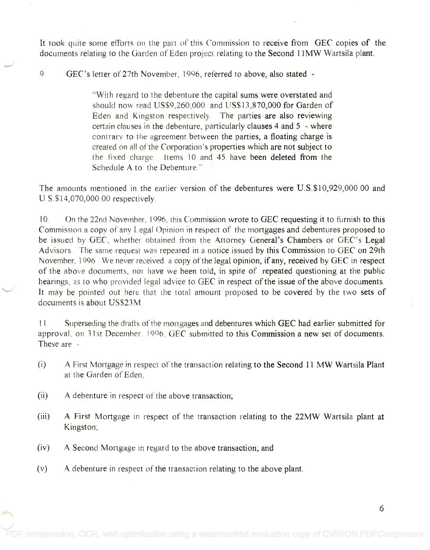It took quite some efforts on the part of this Commission to receive from GEC copies of the documents relating to the Garden of Eden project relating to the Second 1 IMW Wartsila plant. documents relating to the Garden of Eden project relating to the Second IlMW Wartsila plant.

9. GEC's letter of 27th November, 1996, referred to above, also stated -

"With regard to the debenture the capital sums were overstated and "With regard to the debenture the capital sums were overstated and should now read US\$9,260,000. and US\$13,870,000 for Garden of should now read US\$9,260,000. and US\$] 3,870,000 for Garden of Eden and Kingston respectively. The parties are also reviewing certain clauses in the debenture, particularly clauses 4 and 5 - where certain clauses in the debenture, particularly clauses 4 and 5 - where contrary to the agreement between the parties, a floating charge is contrary to the agreement between the parties, a floating charge is created on all of the Corporation's properties which are not subject to created on all of the Corporation's properties which are not subject to the fixed charge. Items 10 and 45 have been deleted from the Schedule A to the Debenture." Schedule A to the Debenture."

The amounts mentioned in the earlier version of the debentures were U.S.\$10,929,000.00 and The amounts mentioned in the earlier version of the debentures were U.S.\$10,929,000.00 and U.S. \$14,070,000.00 respectively. U.S.\$] 4,070,000.00 respectively

10. On the 22nd November, 1996, this Commission wrote to GEC requesting it to furnish to this Commission a copy of any Legal Opinion in respect of the mortgages and debentures proposed to be issued by GEC, whether obtained from the Attorney General's Chambers or GEC's Legal Advisors The same request was repeated in a notice issued by this Commission to GEC on 29th Advisors The same request was repeated in a notice issued by this Commission to *GEC* on 29th November, 1996. We never received a copy of the legal opinion, if any, received by GEC in respect of the above documents, nor have we been told, in spite of repeated questioning at the public hearings, as to who provided legal advice to GEC in respect of the issue of the above documents. It may be pointed out here that the total amount proposed to be covered by the two sets of It may be pointed out here that the total amount proposed to be covered by the two sets of documents is about US\$23M. documents is about US\$23M.

11. Superseding the drafts of the mortgages and debentures which GEC had earlier submitted for approval, on 31st December. 1996, GEC submitted to this Commission a new set of documents. These are - These are -

- (i) A First Mortgage in respect of the transaction relating to the Second 11 MW Wartsila Plant (i) A First Mortgage in respect of the transaction relating to the Second 11 MW Wartsila Plant at the Garden of Eden; at the Garden of Eden;
- (ii) A debenture in respect of the above transaction;
- (iii) A First Mortgage in respect of the transaction relating to the 22MW Wartsila plant at (iii) A First Mortgage in respect of the transaction relating to the 22MW Wartsila plant at Kingston; Kingston;
- (iv) A Second Mortgage in regard to the above transaction; and
- (v) A debenture in respect of the transaction relating to the above plant.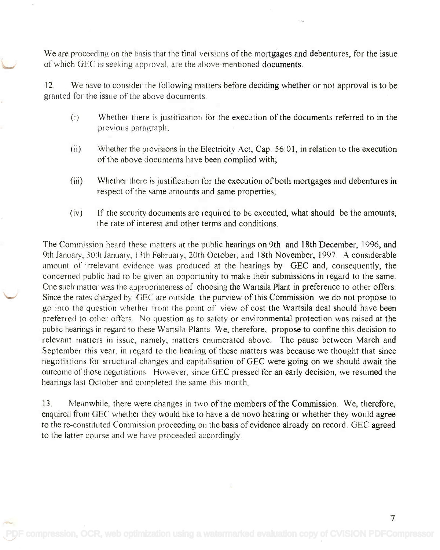We are proceeding on the basis that the final versions of the mortgages and debentures, for the issue We are proceeding on the basis that the final versions of the mortgages and debentures, for the issue of which GEC is seeking approval, are the above-mentioned documents. of which GEC is seeking approval., are the above-mentioned documents.

12. We have to consider the following matters before deciding whether or not approval is to be 12. We have to consider the following matters before deciding whether or not approval is to be granted for the issue of the above documents. granted for the issue of the above documents.

- (i) Whether there is justification for the execution of the documents referred to in the (i) Whether there isjustification for the execution of the documents referred to in the previous paragraph; previous paragraph;
- (ii) Whether the provisions in the Electricity Act, Cap. 56:01, in relation to the execution (ii) Whether the provisions in the Electricity Act, Cap. 56:01, in relation to the execution of the above documents have been complied with; of the above documents have been complied with;
- (iii) Whether there is justification for the execution of both mortgages and debentures in respect of the same amounts and same properties; respect of the same amounts and same properties;
- (iv) If the security documents are required to be executed, what should be the amounts, (iv) If the security documents are required to be executed, what should be the amounts, the rate of interest and other terms and conditions. the rate of interest and other terms and conditions.

The Commission heard these matters at the public hearings on 9th and 18th December, 1996, and 9th January, 30th January, 13th February, 20th October, and 18th November, 1997. A considerable 9th January, 30th January, 13th February, 20th October, and 18th November, 1997. A considerable amount of irrelevant evidence was produced at the hearings by GEC and, consequently, the concerned public had to be given an opportunity to make their submissions in regard to the same. One such matter was the appropriateness of choosing the Wartsila Plant in preference to other offers. One such matter was the appropriateness of choosing the Wartsila Plant in preference to other offers. Since the rates charged by GEC are outside the purview of this Commission we do not propose to Since the rates charged by GEC are outside the purview of this Commission we do not propose to go into the question whether from the point of view of cost the Wartsila deal should have been preferred to other offers. No question as to safety or environmental protection was raised at the public hearings in regard to these Wartsila Plants. We, therefore, propose to confine this decision to public hearings in regard to these Wartsila Plants. We, therefore, propose to confine this decision to relevant matters in issue, namely, matters enumerated above. The pause between March and September this year, in regard to the hearing of these matters was because we thought that since September this year, in regard to the hearing of these matters was because we thought that since negotiations for structural changes and capitalisation of GEC were going on we should await the negotiations for structural changes and capitalisation of GEC were going on we should await the outcome of those negotiations However, since GEC pressed for an early decision, we resumed the hearings last October and completed the same this month. hearings last October and completed the same this month

13. Meanwhile, there were changes in two of the members of the Commission. We, therefore, enquired from GEC whether they would like to have a de novo hearing or whether they would agree to the re-constituted Commission proceeding on the basis of evidence already on record. GEC agreed to the re-constituted Commission proceeding on the basis of evidence already on record. GEC agreed to the latter course and we have proceeded accordingly. to the latter course and we have proceeded accordingly.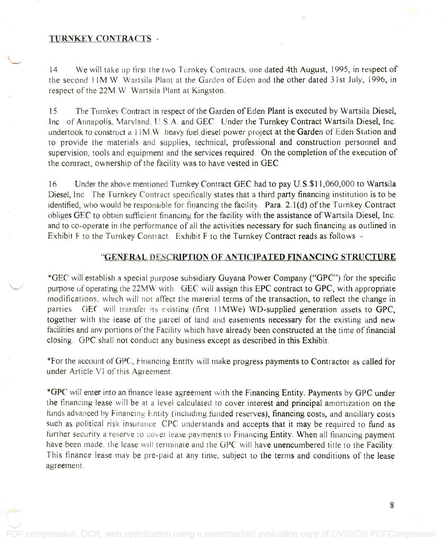#### TURNKEY CONTRACTS -

14. We will take up first the two Turnkey Contracts, one dated 4th August, 1995, in respect of 14. We will take up first the two Turnkey Contracts, one dated 4th August, 1995, in respect of the second 11M W. Wartsila Plant at the Garden of Eden and the other dated 31st July, 1996, in respect of the 22M.W. Wartsila Plant at Kingston.

15. The Turnkey Contract in respect of the Garden of Eden Plant is executed by Wartsila Diesel, ] 5. The Turnkey Contract in respect of the Garden of Eden Plant is executed by Wartsila Diesel, Inc. of Annapolis, Maryland, U.S.A. and GEC. Under the Turnkey Contract Wartsila Diesel, Inc. undertook to construct a 11 M.W. heavy fuel diesel power project at the Garden of Eden Station and undertook to constmct a IIM.W. heavy fuel diesel power project at the Garden of Eden Station and to provide the materials and supplies, technical, professional and construction personnel and to provide the materials and supplies, technical, professional and construction personnel and supervision, tools and equipment and the services required. On the completion of the execution of supervision, tools and equipment and the services required. On the completion of the execution of the contract, ownership of the facility was to have vested in  ${\rm GEC}$  .

16. Under the above mentioned Turnkey Contract GEC had to pay U.S.\$11,060,000 to Wartsila 16. Under the above mentioned Turnkey Contract GEC had to pay U.S.\$II,060,OOO to Wartsila Diesel, Inc. The Turnkey Contract specifically states that a third party financing institution is to be identified, who would be responsible for financing the facility. Para. 2.1(d) of the Turnkey Contract identified, who would be responsible for financing the facility. Para. 2.1(d) of the Turnkey Contract obliges GEC to obtain sufficient financing for the facility with the assistance of Wartsila Diesel, Inc. and to co-operate in the performance of all the activities necessary for such financing as outlined in and to co-operate in the performance of all the activities necessary for such financing as outlined in Exhibit F to the Turnkey Contract. Exhibit F to the Turnkey Contract reads as follows -

### "GENERAL. DESCRIPTION OF ANTICIPATED FINANCING STRUCTURE

\*GEC will establish a special purpose subsidiary Guyana Power Company ("GPC") for the specific \*GEC will establish a special purpose subsidiary Guyana Power Company ("GPC") for the specific purpose of operating the 22MW with. GEC will assign this EPC contract to GPC, with appropriate purpose of operating the 22MW with. GEC will assign this EPC contract to GPC, with appropriate modifications, which will not affect the material terms of the transaction, to reflect the change in modifications, which will not affect the material terms of the transaction, to reflect the change in parties GEC will transfer its existing (first 11MWe) WD-supplied generation assets to GPC, together with the lease of the parcel of land and easements necessary for the existing and new facilities and any portions of the Facility which have already been constructed at the time of financial facilities and any portions of the Facility which have already been constructed at the time of financial closing. GPC shall not conduct any business except as described in this Exhibit. closing. GPC shall not conduct any business except as described in this Exhibit.

\*For the account of GPC, Financing Entity will make progress payments to Contractor as called for under Article VI of this Agreement. under Article VI of this Agreement.

\*GPC will enter into an finance lease agreement with the Financing Entity. Payments by GPC under \*GPC will enter into an finance lease agreement with the Financing Entity. Payments by GPC under the financing lease will be at a level calculated to cover interest and principal amortization on the the financing lease will be at a level calculated to cover interest and principal amortization on the funds advanced by Financing Entity (including funded reserves), financing costs, and ancillary costs such as political risk insurance. CPC understands and accepts that it may be required to fund as further security a reserve to cover lease payments to Financing Entity. When all financing payment have been made, the lease will terminate and the GPC will have unencumbered title to the Facility. This finance lease may be pre-paid at any time, subject to the terms and conditions of the lease This finance lease may be pre-paid at any time, subject to the terms and conditions of the lease agreement. agreement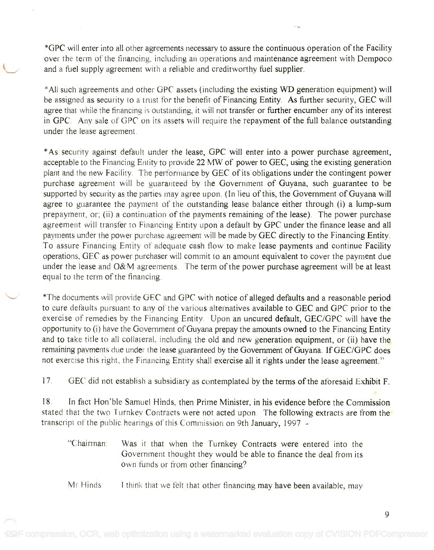\*GPC will enter into all other agreements necessary to assure the continuous operation of the Facility \*GPC will enter into all other agreements necessary to assure the continuous operation of the Facility over the term of the financing, including an operations and maintenance agreement with Dempoco and a fuel supply agreement with a reliable and creditworthy fuel supplier. and a fuel supply agreement with a reliable and creditworthy fuel supplier.

\*All such agreements and other GPC assets (including the existing WD generation equipment) will \*All such agreements and other GPC assets (including the existing WD generation equipment) will be assigned as security to a trust for the benefit of Financing Entity. As further security, GEC will agree that while the financing is outstanding, it will not transfer or further encumber any of its interest in GPC. Any sale of GPC on its assets will require the repayment of the full balance outstanding in GPc. Any sale of GPC on its assets will require the repayment of the full balance outstanding under the lease agreement. under the lease agreement.

\*As security against default under the lease, GPC will enter into a power purchase agreement, \*As security against default under the lease, GPC will enter into a power purchase agreement, acceptable to the Financing Entity to provide 22 MW of power to GEC, using the existing generation acceptable to the Financing Entity to provide 22 MWof power to GEC, using the existing generation plant and the new Facility. The performance by GEC of its obligations under the contingent power plant and the new Facility, The performance by GEC of its obligations under the contingent power purchase agreement will be guaranteed by the Government of Guyana, such guarantee to be purchase agreement will be guaranteed by the Government of Guyana, such guarantee to be supported by security as the parties may agree upon. (In lieu of this, the Government of Guyana will supported by security as the parties may agree upon. (In lieu of this, the Government of Guyana will agree to guarantee the payment of the outstanding lease balance either through (i) a lump-sum agree to guarantee the payment of the outstanding lease balance either through (i) a lump-sum prepayment, or; (ii) a continuation of the payments remaining of the lease). The power purchase prepayment, or; (ii) a continuation of the payments remaining of the lease). The power purchase agreement will transfer to Financing Entity upon a default by GPC under the finance lease and all payments under the power purchase agreement will be made by GEC directly to the Financing Entity. To assure Financing Entity of adequate cash flow to make lease payments and continue Facility operations, GEC as power purchaser will commit to an amount equivalent to cover the payment due under the lease and O&M agreements. The term of the power purchase agreement will be at least under the lease and O&M agreements. The term of the power purchase agreement will be at least equal to the term of the financing. equal to the term of the financing.

 $^*$ The documents will provide GEC and GPC with notice of alleged defaults and a reasonable period to cure defaults pursuant to any of the various alternatives available to GEC and GPC prior to the to cure defaults pursuant to any of the various alternatives available to GEC and GPC prior to the exercise of remedies by the Financing Entity. Upon an uncured default, GEC/GPC will have the opportunity to (i) have the Government of Guyana prepay the amounts owned to the Financing Entity and to take title to all collateral, including the old and new generation equipment, or (ii) have the remaining payments due under the lease guaranteed by the Government of Guyana. If GEC/GPC does not exercise this right, the Financing Entity shall exercise all it rights under the lease agreement." not exercise this right, the Financing Entity shall exercise all it rights under the lease agreement."

17. GEC did not establish a subsidiary as contemplated by the terms of the aforesaid Exhibit F.

18. In fact Hon'ble Samuel Hinds, then Prime Minister, in his evidence before the Commission 18. In fact Hon 'ble Samuel Hinds, then Prime Minister, in his evidence before the Commission stated that the two Turnkey Contracts were not acted upon. The following extracts are from the transcript of the public hearings of this Commission on 9th January, 1997 -

"Chairman: Was it that when the Turnkey Contracts were entered into the Government thought they would be able to finance the deal from its Government thought they would be able to finance the deal from its own funds or from other financing?

Mr Hinds. I think that we felt that other financing may have been available, may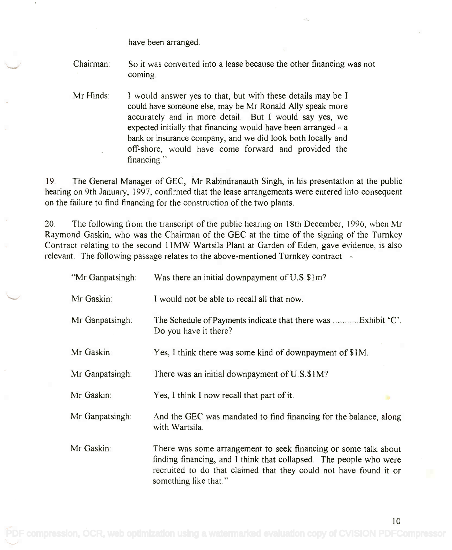have been arranged.

- Chairman: So it was converted into a lease because the other financing was not So it was converted into a lease because the other financing was not coming.
- Mr Hinds: I would answer yes to that, but with these details may be I I would answer yes to that, but with these details may be I could have someone else, may be Mr Ronald Ally speak more could have someone else, may be Mr Ronald Ally speak more accurately and in more detail. But I would say yes, we accurately and in more detail. But I would say yes, we expected initially that financing would have been arranged - a expected initially that financing would have been arranged - a bank or insurance company, and we did look both locally and bank or insurance company, and we did look both locally and off-shore, would have come forward and provided the off-shore, would have come forward and provided the financing."

19. The General Manager of GEC, Mr Rabindranauth Singh, in his presentation at the public 19. The General Manager of GEC, Mr Rabindranauth Singh, in his presentation at the public hearing on 9th January, 1997, confirmed that the lease arrangements were entered into consequent hearing on 9th January, 1997, confirmed that the lease arrangements were entered into consequent on the failure to find financing for the construction of the two plants. on the failure to find financing for the construction of the two plants.

20. The following from the transcript of the public hearing on 18th December, 1996, when Mr 20. The following from the transcript of the public hearing on 18th December, 1996, when Mr Raymond Gaskin, who was the Chairman of the GEC at the time of the signing of the Turnkey Raymond Gaskin, who was the Chairman of the GEC at the time of the signing of the Turnkey Contract relating to the second 11MW Wartsila Plant at Garden of Eden, gave evidence, is also Contract relating to the second 11MW Wartsila Plant at Garden of Eden, gave evidence, is also relevant. The following passage relates to the above-mentioned Turnkey contract -

| "Mr Ganpatsingh: | Was there an initial downpayment of U.S.\$1m?                                                                                                                                                                                       |
|------------------|-------------------------------------------------------------------------------------------------------------------------------------------------------------------------------------------------------------------------------------|
| Mr Gaskin:       | I would not be able to recall all that now.                                                                                                                                                                                         |
| Mr Ganpatsingh:  | The Schedule of Payments indicate that there was  Exhibit 'C'.<br>Do you have it there?                                                                                                                                             |
| Mr Gaskin:       | Yes, I think there was some kind of downpayment of \$1M.                                                                                                                                                                            |
| Mr Ganpatsingh:  | There was an initial downpayment of U.S.\$1M?                                                                                                                                                                                       |
| Mr Gaskin:       | Yes, I think I now recall that part of it.                                                                                                                                                                                          |
| Mr Ganpatsingh:  | And the GEC was mandated to find financing for the balance, along<br>with Wartsila.                                                                                                                                                 |
| Mr Gaskin:       | There was some arrangement to seek financing or some talk about<br>finding financing, and I think that collapsed. The people who were<br>recruited to do that claimed that they could not have found it or<br>something like that." |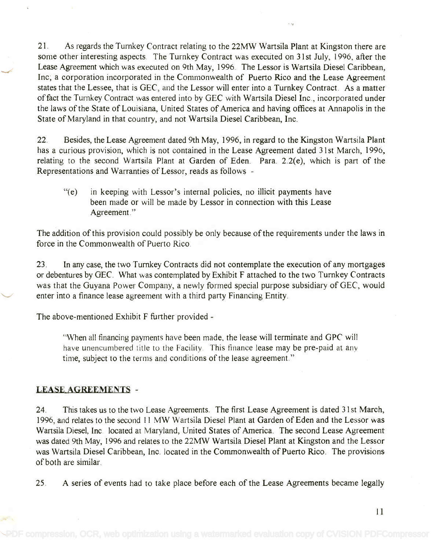21. As regards the Turnkey Contract relating to the 22MW Wartsila Plant at Kingston there are 21. As regards the Turnkey Contract relating to the 22MW Wartsila Plant at Kingston there are some other interesting aspects. The Turnkey Contract was executed on 31st July, 1996, after the some other interesting aspects. The Turnkey Contract was executed on 31 st July, 1996, after the Lease Agreement which was executed on 9th May, 1996. The Lessor is Wartsila Diesel Caribbean, Lease Agreement which was executed on 9th May, 1996. The Lessor is Wartsila Diesel Caribbean, Inc; a corporation incorporated in the Commonwealth of Puerto Rico and the Lease Agreement Inc; a corporation incorporated in the Commonwealth of Puerto Rico and the Lease Agreement states that the Lessee, that is GEC, and the Lessor will enter into a Turnkey Contract. As a matter states that the Lessee, that is GEC, and the Lessor will enter into a Turnkey Contract. As a matter of fact the Turnkey Contract was entered into by GEC with Wartsila Diesel Inc., incorporated under offact the Turnkey Contract was entered into by GEC with Wartsila Diesel Inc., incorporated under the laws of the State of Louisiana, United States of America and having offices at Annapolis in the the laws of the State of Louisiana, United States of America and having offices at Annapolis in the State of Maryland in that country, and not Wartsila Diesel Caribbean, Inc. State of Maryland in that country, and not Wartsila Diesel Caribbean, Inc.

22. Besides, the Lease Agreement dated 9th May, 1996, in regard to the Kingston Wartsila Plant 22. Besides, the Lease Agreement dated 9th May, 1996, in regard to the Kingston Wartsila Plant has a curious provision, which is not contained in the Lease Agreement dated 31st March, 1996, has a curious provision, which is not contained in the Lease Agreement dated 31 st March, 1996, relating to the second Wartsila Plant at Garden of Eden. Para. 2.2(e), which is part of the relating to the second Wartsila Plant at Garden of Eden. Para. 2.2(e), which is part of the Representations and Warranties of Lessor, reads as follows - Representations and Warranties of Lessor, reads as follows -

"(e) in keeping with Lessor's internal policies, no illicit payments have "(e) in keeping with Lessor's internal policies, no illicit payments have been made or will be made by Lessor in connection with this Lease been made or will be made by Lessor in connection with this Lease Agreement." Agreement. "

The addition of this provision could possibly be only because of the requirements under the laws in The addition of this provision could possibly be only because of the requirements under the laws in force in the Commonwealth of Puerto Rico.

23. In any case, the two Turnkey Contracts did not contemplate the execution of any mortgages 23. In any case, the two Turnkey Contracts did not contemplate the execution of any mortgages or debentures by GEC. What was contemplated by Exhibit F attached to the two Turnkey Contracts was that the Guyana Power Company, a newly formed special purpose subsidiary of GEC, would was that the Guyana Power Company, a newly formed special purpose subsidiary of GEC, would enter into a finance lease agreement with a third party Financing Entity.

The above-mentioned Exhibit F further provided -

"When all financing payments have been made, the lease will terminate and GPC will "When all financing payments have been made, the lease will terminate and GPC will have unencumbered title to the Facility. This finance lease may be pre-paid at any have unencumbered title to the Facility. This finance lease may be pre-paid at any time, subject to the terms and conditions of the lease agreement." time, subject to the terms and conditions of the lease agreement."

## LEASE AGREEMENTS -

24. This takes us to the two Lease Agreements. The first Lease Agreement is dated 31st March, 24. This takes us to the two Lease Agreements. The first Lease Agreement is dated 31st March, 1996, and relates to the second 11 MW Wartsila Diesel Plant at Garden of Eden and the Lessor was 1996, and relates to the second 11 MW Wartsila Diesel Plant at Garden of Eden and the Lessor was Wartsila Diesel, Inc located at Maryland, United States of America. The second Lease Agreement Wartsila Diesel, Inc located at Maryland, United States of America. The second Lease Agreement was dated 9th May, 1996 and relates to the 22MW Wartsila Diesel Plant at Kingston and the Lessor was dated 9th May, 1996 and relates to the 22MW Wartsila Diesel Plant at Kingston and the Lessor was Wartsila Diesel Caribbean, Inc. located in the Commonwealth of Puerto Rico. The provisions was Wartsila Diesel Caribbean, Inc. located in the Commonwealth of Puerto Rico. The provisions of both are similar. of both are similar.

25. A series of events had to take place before each of the Lease Agreements became legally

[PDF compression, OCR, web optimization using a watermarked evaluation copy of CVISION PDFCompressor](http://www.cvisiontech.com)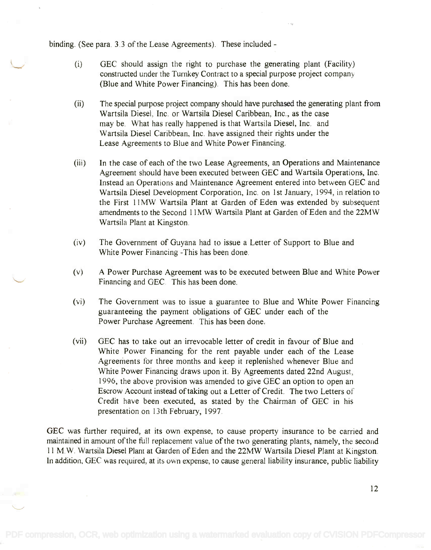binding. (See para. 3.3 of the Lease Agreements). These included -

- (i) GEC should assign the right to purchase the generating plant (Facility) (i) GEC should assign the right to purchase the generating plant (Facility) constructed under the Turnkey Contract to a special purpose project company constructed under the Turnkey Contract to a special purpose project company (Blue and White Power Financing). This has been done. (Blue and White Power Financing). This has been done.
- (ii) The special purpose project company should have purchased the generating plant from (ii) The special purpose project company should have purchased the generating plant from Wartsila Diesel, Inc. or Wartsila Diesel Caribbean, Inc., as the case Wartsila Diesel, Inc. or Wartsila Diesel Caribbean, Inc., as the case may be. What has really happened is that Wartsila Diesel, Inc. and may be. What has really happened is that Wartsila Diesel, Inc. and Wartsila Diesel Caribbean, Inc. have assigned their rights under the Wartsila Diesel Caribbean, Inc. have assigned their rights under the Lease Agreements to Blue and White Power Financing. Lease Agreements to Blue and White Power Financing.
- (iii) In the case of each of the two Lease Agreements, an Operations and Maintenance (iii) In the case of each of the two Lease Agreements, an Operations and Maintenance Agreement should have been executed between GEC and Wartsila Operations, Inc. Agreement should have been executed between GEC and Wartsila Operations, Inc. Instead an Operations and Maintenance Agreement entered into between GEC and Instead an Operations and Maintenance Agreement entered into between GEC and Wartsila Diesel Development Corporation, Inc. on 1st January, 1994, in relation to Wartsila Diesel Development Corporation, Inc. on 1st January, 1994, in relation to the First 11MW Wartsila Plant at Garden of Eden was extended by subsequent amendments to the Second 11MW Wartsila Plant at Garden of Eden and the 22MW amendments to the Second I1MW Wartsila Plant at Garden of Eden and the 22MW Wartsila Plant at Kingston. Wartsila Plant at Kingston.
- (iv) The Government of Guyana had to issue a Letter of Support to Blue and (iv) The Government of Guyana had to issue a Letter of Support to Blue and White Power Financing -This has been done. White Power Financing -This has been done.
- (v) A Power Purchase Agreement was to be executed between Blue and White Power Financing and GEC. This has been done.
- (vi) The Government was to issue a guarantee to Blue and White Power Financing (vi) The Government was to issue a guarantee to Blue and White Power Financing guaranteeing the payment obligations of GEC under each of the guaranteeing the payment obligations of GEC under each of the Power Purchase Agreement. This has been done. Power Purchase Agreement. This has been done.
- (vii) GEC has to take out an irrevocable letter of credit in favour of Blue and White Power Financing for the rent payable under each of the Lease White Power Financing for the rent payable under each of the Lease Agreements for three months and keep it replenished whenever Blue and White Power Financing draws upon it. By Agreements dated 22nd August, White Power Financing draws upon it. By Agreements dated 22nd August, 1996, the above provision was amended to give GEC an option to open an 1996, the above provision was amended to give GEC an option to open an Escrow Account instead of taking out a Letter of Credit. The two Letters of Escrow Account instead of taking out a Letter of Credit. The two Letters of Credit have been executed, as stated by the Chairman of GEC in his Credit have been executed, as stated by the Chairman of GEC in his presentation on 13th February, 1997. presentation on 13th February, 1997.

GEC was further required, at its own expense, to cause property insurance to be carried and GEC was further required, at its own expense, to cause property insurance to be carried and maintained in amount of the full replacement value of the two generating plants, namely, the second maintained in amount of the full replacement value of the two generating plants, namely, the second 11 M.W. Wartsila Diesel Plant at Garden of Eden and the 22MW Wartsila Diesel Plant at Kingston. 11 M.W. Wartsila Diesel Plant at Garden of Eden and the 22MW Wartsila Diesel Plant at Kingston. In addition, GEC was required, at its own expense, to cause general liability insurance, public liability In addition, GEC was required, at its own expense, to cause general liability insurance, public liability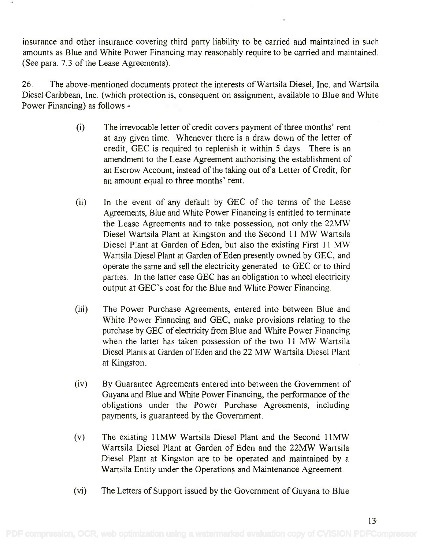insurance and other insurance covering third party liability to be carried and maintained in such insurance and other insurance covering third party liability to be carried and maintained in such amounts as Blue and White Power Financing may reasonably require to be carried and maintained. amounts as Blue and White Power Financing may reasonably require to be carried and maintained. (See para. 7.3 of the Lease Agreements). (See para. 7.3 of the Lease Agreements).

26. The above-mentioned documents protect the interests of Wartsila Diesel, Inc. and Wartsila 26. The above-mentioned documents protect the interests ofWartsila Diesel, Inc. and Wartsila Diesel Caribbean, Inc. (which protection is, consequent on assignment, available to Blue and White Diesel Caribbean, Inc. (which protection is, consequent on assignment, available to Blue and White Power Financing) as follows - Power Financing) as follows -

- (i) The irrevocable letter of credit covers payment of three months' rent (i) The irrevocable letter of credit covers payment of three months' rent at any given time. Whenever there is a draw down of the letter of at any given time. Whenever there is a draw down of the letter of credit, GEC is required to replenish it within 5 days. There is an credit, GEC is required to replenish it within 5 days. There is an amendment to the Lease Agreement authorising the establishment of amendment to the Lease Agreement authorising the establishment of an Escrow Account, instead of the taking out of a Letter of Credit, for an Escrow Account, instead of the taking out of a Letter of Credit, for an amount equal to three months' rent. an amount equal to three months' rent.
- (ii) In the event of any default by GEC of the terms of the Lease (ii) Inthe event of any default by GEC of the terms of the Lease Agreements, Blue and White Power Financing is entitled to terminate Agreements, Blue and White Power Financing is entitled to terminate the Lease Agreements and to take possession, not only the 22MW the Lease Agreements and to take possession, not only the 22MW Diesel Wartsila Plant at Kingston and the Second 11 MW Wartsila Diesel Wartsila Plant at Kingston and the Second 11 MW Wartsila Diesel Plant at Garden of Eden, but also the existing First 11 MW Diesel Plant at Garden of Eden, but also the existing First 11 MW Wartsila Diesel Plant at Garden of Eden presently owned by GEC, and Wartsila Diesel Plant at Garden of Eden presently owned by GEC, and operate the same and sell the electricity generated to GEC or to third operate the same and sell the electricity generated to GEC or to third parties. In the latter case GEC has an obligation to wheel electricity parties. In the latter case GEC has an obligation to wheel electricity output at GEC's cost for the Blue and White Power Financing. output at GEC's cost for the Blue and White Power Financing.
- (iii) The Power Purchase Agreements, entered into between Blue and (iii) The Power Purchase Agreements, entered into between Blue and White Power Financing and GEC, make provisions relating to the White Power Financing and GEC, make provisions relating to the purchase by GEC of electricity from Blue and White Power Financing purchase by GEC of electricity from Blue and White Power Financing when the latter has taken possession of the two 11 MW Wartsila when the latter has taken possession of the two 11 MW Wartsila Diesel Plants at Garden of Eden and the 22 MW Wartsila Diesel Plant at Kingston. at Kingston.
- (iv) By Guarantee Agreements entered into between the Government of (iv) ByGuarantee Agreements entered into between the Government of Guyana and Blue and White Power Financing, the performance of the Guyana and Blue and White Power Financing, the performance of the obligations under the Power Purchase Agreements, including payments, is guaranteed by the Government. payments, is guaranteed by the Government.
- (v) The existing 11MW Wartsila Diesel Plant and the Second 11MW (v) The existing IIMW Wartsila Diesel Plant and the Second IIMW Wart sila Diesel Plant at Garden of Eden and the 22MW Wartsila Wartsila Diesel Plant at Garden of Eden and the 22MW Wartsila Diesel Plant at Kingston are to be operated and maintained by a Diesel Plant at Kingston are to be operated and maintained by a Wartsila Entity under the Operations and Maintenance Agreement. Wartsila Entity under the Operations and Maintenance Agreement.
- (vi) The Letters of Support issued by the Government of Guyana to Blue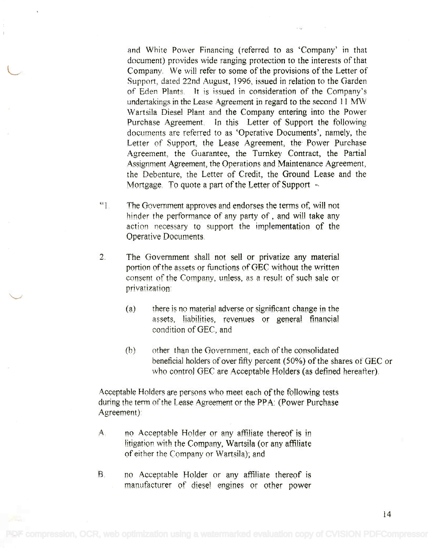and White Power Financing (referred to as 'Company' in that and White Power Financing (referred to as 'Company' in that document) provides wide ranging protection to the interests of that document) provides wide ranging protection to the interests of that Company. We will refer to some of the provisions of the Letter of Company. We will refer to some of the provisions of the Letter of Support, dated 22nd August, 1996, issued in relation to the Garden of Eden Plants, It is issued in consideration of the Company's of Eden Plants. It is issued in consideration of the Company's undertakings in the Lease Agreement in regard to the second 11 MW Wartsila Diesel Plant and the Company entering into the Power Wartsila Diesel Plant and the Company entering into the Power Purchase Agreement. In this Letter of Support the following documents are referred to as 'Operative Documents', namely, the documents are referred to as 'Operative Documents', namely, the Letter of Support, the Lease Agreement, the Power Purchase Letter of Support, the Lease Agreement, the Power Purchase Agreement, the Guarantee, the Turnkey Contract, the Partial Agreement, the Guarantee, the Turnkey Contract, the Partial Assignment Agreement, the Operations and Maintenance Agreement, Assignment Agreement, the Operations and Maintenance Agreement, the Debenture, the Letter of Credit, the Ground Lease and the the Debenture, the Letter of Credit, the Ground Lease and the Mortgage. To quote a part of the Letter of Support Mortgage, To quote a part of the Letter of Support -

- The Government approves and endorses the terms of, will not "1. The Government approves and endorses the terms of. will not hinder the performance of any party of, and will take any action necessary to support the implementation of the action necessary to support the implementation of the Operative Documents. Operative Documents,
- The Government shall not sell or privatize any material 2. The Government shall not sell or privatize any material portion of the assets or functions of GEC without the written portion of the assets or functions of GEC without the written consent of the Company, unless, as a result of such sale or privatization: privatization:
	- (a) there is no material adverse or significant change in the (a) there is no material adverse or significant change in the assets, liabilities, revenues or general financial assets, liabilities, revenues or general financial condition of GEC, and condition of GEC, and
	- (b) other than the Government, each of the consolidated (b) other than the Government, each of the consolidated beneficial holders of over fifty percent (50%) of the shares of GEC or beneficial holders of over fifty percent (50%) of the shares of GEC or who control GEC are Acceptable Holders (as defined hereafter), who control GEC are Acceptable Holders (as defined hereafter),

Acceptable Holders are persons who meet each of the following tests during the term of the Lease Agreement or the PRA: (Power Purchase during the term of the Lease Agreement or the PP A: (Power Purchase Agreement): Agreement):

- A. no Acceptable Holder or any affiliate thereof is in litigation with the Company, Wartsila (or any affiliate of either the Company or Wartsila); and of either the Company or Wartsila); and
- no Acceptable Holder or any affiliate thereof is B. no Acceptable Holder or any affiliate thereof *is* manufacturer of diesel engines or other power manufacturer of diesel engines or other power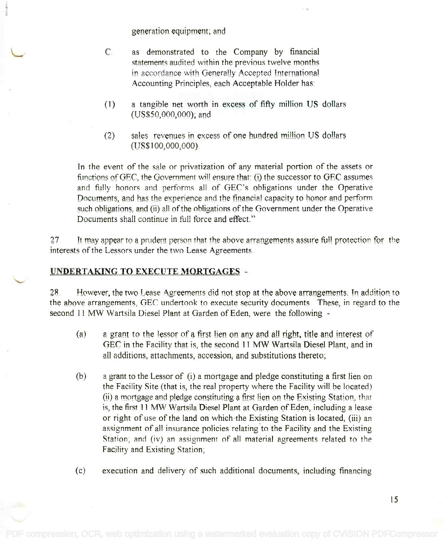generation equipment; and

- C. as demonstrated to the Company by financial C. as demonstrated to the Company by financial statements audited within the previous twelve months statements audited within the previous twelve months in accordance with Generally Accepted International Accounting Principles, each Acceptable Holder has:
- (1) a tangible net worth in excess of fifty million US dollars (US\$50,000,000); and (US\$50,000,000); and
- (2) sales revenues in excess of one hundred million US dollars (2) sales revenues in excess of one hundred million US dollars (1JS\$1 00,000,000). (US\$100,000,000).

In the event of the sale or privatization of any material portion of the assets or functions of GEC, the Government will ensure that: (i) the successor to GEC assumes and fully honors and performs all of GEC's obligations under the Operative Documents, and has the experience and the financial capacity to honor and perform such obligations, and (ii) all of the obligations of the Government under the Operative Documents shall continue in full force and effect." Documents shall continue in full force and effect."

27. It may appear to a prudent person that the above arrangements assure full protection for the interests of the Lessors under the two Lease Agreements. interests of the Lessors under the two Lease Agreements

## UNDERTAKING TO EXECUTE MORTGAGES -

28. However, the two Lease Agreements did not stop at the above arrangements. In addition to the above arrangements, GEC undertook to execute security documents. These, in regard to the second 11 MW Wartsila Diesel Plant at Garden of Eden, were the following -

- (a) a grant to the lessor of a first lien on any and all right, title and interest of (a.) a grant to the lessor of a first lien on any and all right. title and interest of GEC in the Facility that is, the second 11 MW Wartsila Diesel Plant, and in all additions, attachments, accession, and substitutions thereto;
- (b) a grant to the Lessor of (i) a mortgage and pledge constituting a first lien on (b) a grant to the Lessor of (i) a mortgage and pledge constituting a first lien on the Facility Site (that is, the real property where the Facility will he located) the Facility Site (that is, the real property where the Facility will he located) (ii) a mortgage and pledge constituting a first lien on the Existing Station, that is, the first 11 MW Wartsila Diesel Plant at Garden of Eden, including a lease or right of use of the land on which the Existing Station is located, (iii) an or right of use of the land on which the Existing Station is located, (iii) an assignment of all insurance policies relating to the Facility and the Existing assignment of all insurance policies relating'to the Facility and the Existing Station; and (iv) an assignment of all material agreements related to the Facility and Existing Station; Facjlity and Existing Station;
- (c) execution and delivery of such additional documents, including financing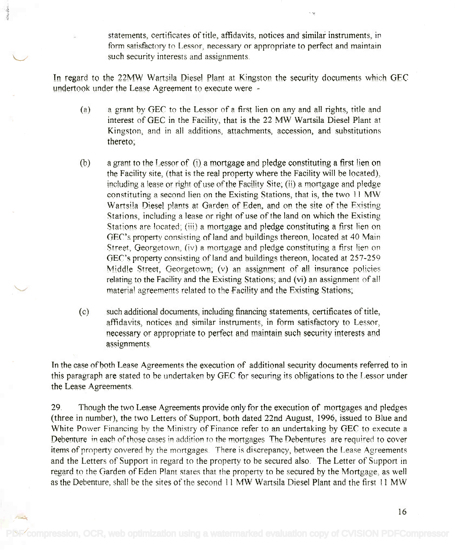statements, certificates of title, affidavits, notices and similar instruments, in statements, certificates of title, affidavits, notices and similar instmments, in form satisfactory to Lessor, necessary or appropriate to perfect and maintain fonn satisfactory to Lessor, necessary or appropriate to perfect and maintain such security interests and assignments. such security interests and assignments

In regard to the 22MW Wartsila Diesel Plant at Kingston the security documents which GEC undertook under the Lease Agreement to execute were -

- (a) a grant by GEC to the Lessor of a first lien on any and all rights, title and (a) a grant by GEC to the Lessor of a first lien on any and all rights, title and interest of GEC in the Facility, that is the 22 MW Wartsila Diesel Plant at Kingston, and in all additions, attachments, accession, and substitutions thereto; thereto;
- (b) a grant to the Lessor of  $(i)$  a mortgage and pledge constituting a first lien on the Facility site, (that is the real property where the Facility will be located), the Facility site, (that is the real property where the Facility will be located), including a lease or right of use of the Facility Site; (ii) a mortgage and pledge constituting a second lien on the Existing Stations, that is, the two 11 MW Wartsila Diesel plants at Garden of Eden, and on the site of the Existing Wartsila Diesel plants at Garden of Eden. and on the site of the Existing Stations, including a lease or right of use of the land on which the Existing Stations, including a lease or right of use of the land on which the Existing Stations are located; (iii) a mortgage and pledge constituting a first lien on Stations are located; (iii) a mortgage and pledge constituting a first lien on GEC's property consisting of land and buildings thereon, located at 40 Main Street, Georgetown, (iv) a mortgage and pledge constituting a first lien on GEC's property consisting of land and buildings thereon, located at 257-259 Middle Street, Georgetown; (v) an assignment of all insurance policies Middle Street. Georgetown; (v) an assignment of aU insurance policies relating to the Facility and the Existing Stations; and (vi) an assignment of all material agreements related to the Facility and the Existing Stations; materia! agreements related to the Facility and the Existing Stations;
- (c) such additional documents, including financing statements, certificates of title, (c) such additional documents, including financing statements, certificates of title, affidavits, notices and similar instruments, in form satisfactory to Lessor, necessary or appropriate to perfect and maintain such security interests and necessary or appropriate to perfect and maintain such security interests and assignments. assignments.

In the case of both Lease Agreements the execution of additional security documents referred to in this paragraph are stated to he undertaken by GEC for securing its obligations to the Lessor under this paragraph are stated to be undertaken by GEC for securing its obligations to the Lessor under the Lease Agreements. the Lease Agreements.

29. Though the two Lease Agreements provide only for the execution of mortgages and pledges 29. Though the two Lease Agreements provide only for the execution of mortgages and pledges (three in number), the two Letters of Support, both dated 22nd August, 1996, issued to Blue and (three in number), the two Letters of Support, both dated 22nd August, 1996, issued to Blue and White Power Financing by the Ministry of Finance refer to an undertaking by GEC to execute a Debenture in each of those cases in addition to the mortgages. The Debentures are required to cover items of property covered by the mortgages. There is discrepancy, between the Lease Agreements and the Letters of Support in regard to the property to be secured also. The Letter of Support in and the Letters of Support in regard to the property to be secured also. The Letter of Support in regard to the Garden of Eden Plant states that the property to he secured by the Mortgage, as well regard to the Garden of Eden Plant states that the property to he secured hy the Mortgage, as well as the Debenture, shall be the sites of the second 11 MW Wartsila Diesel Plant and the first 11 MW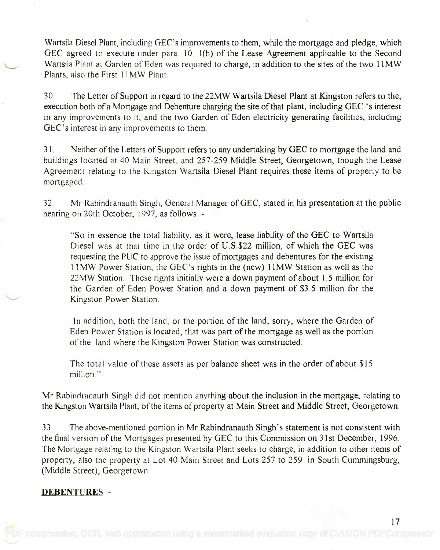Wartsila Diesel Plant, including GEC's improvements to them, while the mortgage and pledge, which Wartsila Diesel Plant, including GEC's improvements to them, while the mortgage and pledge, which GEC agreed to execute under para. 10, 1(b) of the Lease Agreement applicable to the Second Wartsila Plant at Garden of Eden was required to charge, in addition to the sites of the two 11MW Wartsila Plant at Garden of Eden was required to charge, in addition to the sites of the two IlMW Plants, also the First 11MW Plant.

30. The Letter of Support in regard to the 22MW Wartsila Diesel Plant at Kingston refers to the, 30. The Letter of Support in regard to the 22MW Wartsila Diesel Plant at Kingston refers to the, execution both of a Mortgage and Debenture charging the site of that plant, including GEC 's interest execution both ofa Mortgage and Debenture charging the site of that plant, including GEC 's interest in any improvements to it, and the two Garden of Eden electricity generating facilities, including in any improvements to it, and the two Garden of Eden electricity generating facilities, including GEC's interest in any improvements to them. GEC's interest in any improvements to them.

31. Neither of the Letters of Support refers to any undertaking by GEC to mortgage the land and 3 1. Neither of the Letters of Support refers to any undertaking by GEC to mortgage the land and buildings located at 40 Main Street, and 257-259 Middle Street, Georgetown, though the Lease buildings located at 40 Main Street, and 257-259 Middle Street, Georgetown, though the Lease Agreement relating to the Kingston Wartsila Diesel Plant requires these items of property to be Agreement relating to the Kingston Wartsila Diesel Plant requires these items of property to be mortgaged mortgaged.

32. Mr Rabindranauth Singh, General Manager of GEC, stated in his presentation at the public 32. Mr Rabindranauth Singh, General Manager of GEC, stated in his presentation at the public hearing on 20th October, 1997, as follows - hearing on 20th October, 1997, as follows -

"So in essence the total liability, as it were, lease liability of the GEC to Wartsila "So in essence the total liability, as it were, lease liability of the GEC to Wartsila Diesel was at that time in the order of U.S.\$22 million, of which the GEC was requesting the PUC to approve the issue of mortgages and debentures for the existing 1 I MW Power Station, the GEC's rights in the (new) 11MW Station as well as the 11MW Power Station, the GEC's rights in the (new) IIMW Station as well as the 22MW Station. These rights initially were a down payment of about 1.5 million for 22MW Station. These rights initially were a down payment of about 1.5 million for the Garden of Eden Power Station and a down payment of \$3.5 million for the the Garden of Eden Power Station and a down payment of \$3.5 million for the Kingston Power Station. Kingston Power Station.

In addition, both the land, or the portion of the land, sorry, where the Garden of Eden Power Station is located, that was part of the mortgage as well as the portion Eden Power Station is located, that was part of the mortgage as well as the portion of the land where the Kingston Power Station was constructed. of the land where the Kingston Power Station was constructed.

The total value of these assets as per balance sheet was in the order of about \$15 The total value of these assets as per balance sheet was in the order of about \$15 million " million"

Mr Rabindranauth Singh did not mention anything about the inclusion in the mortgage, relating to Mr Rabindranauth Singh did not mention anything about the inclusion in the mortgage, relating to the Kingston Wartsila Plant, of the items of property at Main Street and Middle Street, Georgetown. the Kingston Wartsila Plant, of the items of property at Main Street and Middle Street, Georgetown.

33. The above-mentioned portion in Mr Rabindranauth Singh's statement is not consistent with 33. The above-mentioned portion in Mr Rabindranauth Singh's statement is not consistent with the final version of the Mortgages presented by GEC to this Commission on 31st December, 1996. The Mortgage relating to the Kingston Wartsila Plant seeks to charge, in addition to other items of The Mortgage relating to the Kingston Wartsila Plant seeks to charge, in addition to other items of property, also the property at Lot 40 Main Street and Lots 257 to 259 in South Cummingsburg, property, also the property at Lot 40 Main Street and Lots 257 to 259 in South Cummingsburg, (Middle Street), Georgetown. (Middle Street), Georgetown.

### DEBENTURES -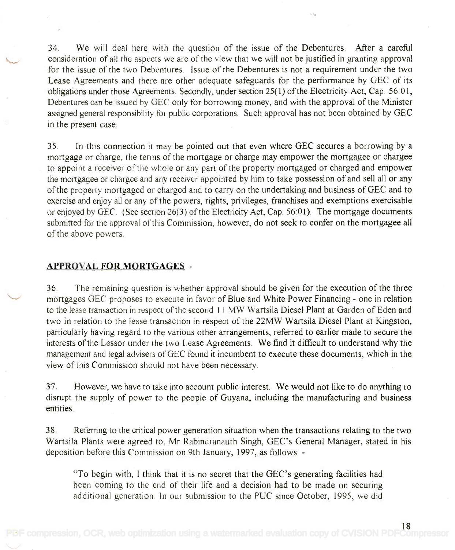34. We will deal here with the question of the issue of the Debentures. After a careful 34. We will deal here with the question of the issue of the Debentures. After a careful consideration of all the aspects we are of the view that we will not be justified in granting approval for the issue of the two Debentures. Issue of the Debentures is not a requirement under the two for the issue of the two Debentures. Issue of the Debentures is not a requirement under the two Lease Agreements and there are other adequate safeguards for the performance by GEC of its Lease Agreements and there are other adequate safeguards for the performance by GEC of its obligations under those Agreements. Secondly, under section 25(1) of the Electricity Act, Cap. 56:01, Debentures can be issued by GEC only for borrowing money, and with the approval of the Minister assigned general responsibility for public corporations. Such approval has not been obtained by GEC in the present case. in the present case.

35. In this connection it may be pointed out that even where GEC secures a borrowing by a 35. In this connection it may be pointed out that even where GEC secures a borrowing by a mortgage or charge, the terms of the mortgage or charge may empower the mortgagee or chargee mortgage or charge, the terms of the mortgage or charge may empower the mortgagee or chargee to appoint a receiver of the whole or any part of the property mortgaged or charged and empower to appoint a receiver of the whole or any part of the property mortgaged or charged and empower the mortgagee or chargee and any receiver appointed by him to take possession of and sell all or any the mortgagee or chargee and any receiver appointed by him to take possession of and sell all or any of the property mortgaged or charged and to carry on the undertaking and business of GEC and to exercise and enjoy all or any of the powers, rights, privileges, franchises and exemptions exercisable exercise and enjoy all or any of the powers, rights, privileges, franchises and exemptions exercisable or enjoyed by GEC. (See section 26(3) of the Electricity Act, Cap. 56:01). The mortgage documents submitted for the approval of this Commission, however, do not seek to confer on the mortgagee all submitted for the approval of this Commission, however, do not seek to confer on the mortgagee all of the above powers. of the above powers.

#### APPROVAL FOR MORTGAGES -

36. The remaining question is whether approval should be given for the execution of the three 36. The remaining question is whether approval should be given for the execution of the three mortgages GEC proposes to execute in favor of Blue and White Power Financing - one in relation to the lease transaction in respect of the second 11 MW Wartsila Diesel Plant at Garden of Eden and two in relation to the lease transaction in respect of the 22MW Wartsila Diesel Plant at Kingston, two in relation to the lease transaction in respect of the 22MW Wartsila Diesel Plant at Kingston, particularly having regard to the various other arrangements, referred to earlier made to secure the particularly having regard to the various other arrangements, referred to earlier made to secure the interests of the Lessor under the two Lease Agreements. We find it difficult to understand why the interests of the Lessor under the two Lease Agreements. We find it difficult to understand why the management and legal advisers of GEC found it incumbent to execute these documents, which in the view of this Commission should not have been necessary. view of this Commission should not have been necessary.

37. However, we have to take into account public interest. We would not like to do anything to 37. However, we have to take into account public interest. We would not like to do anything to disrupt the supply of power to the people of Guyana, including the manufacturing and business disrupt the supply of power to the people of Guyana, including the manufacturing and business entities. entities.

38. Referring to the critical power generation situation when the transactions relating to the two 38. Referring to the critical power generation situation when the transactions relating to the two Wartsila Plants were agreed to, Mr Rabindranauth Singh, GEC's General Manager, stated in his Wartsila Plants were agreed to, Mr Rabindranauth Singh, GEC's General Manager, stated in his deposition before this Commission on 9th January, 1997, as follows - deposition before this Commission on 9th January, 1997, as follows -

"To begin with, I think that it is no secret that the GEC's generating facilities had "To begin with, I think that it is no secret that the GEC's generating facilities had been coming to the end of their life and a decision had to be made on securing been coming to the end of their life and a decision had to be made on securing additional generation. In our submission to the PUC since October, 1995, we did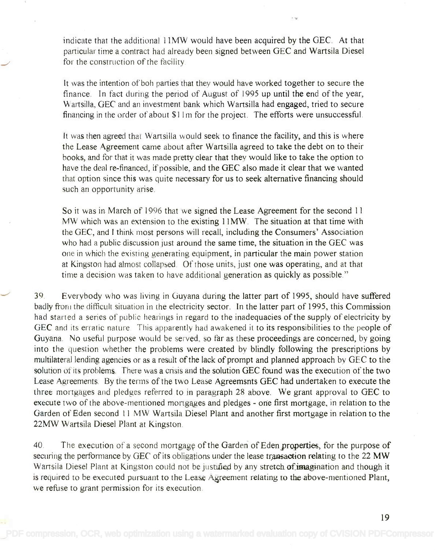indicate that the additional 11MW would have been acquired by the GEC. At that particular time a contract had already been signed between GEC and Wartsila Diesel particular time a contract had already been signed between GEC and Wartsila Diesel for the construction of the facility. for the construction of the facility.

It was the intention of boh parties that they would have worked together to secure the finance. In fact during the period of August of 1995 up until the end of the year, Wartsilla, GEC and an investment bank which Wartsilla had engaged, tried to secure Wartsilla, GEC and an investment bank which Wartsilla had engaged, tried to secure financing in the order of about \$1 lm for the project. The efforts were unsuccessful. financing in the order of about \$11 m for the project. The efforts were unsuccessful

It was then agreed that Wartsilla would seek to finance the facility, and this is where It was then agreed that Wartsilla would seek to finance the facility, and this is where the Lease Agreement came about after Wartsilla agreed to take the debt on to their the Lease Agreement came about after Wartsilla agreed to take the debt on to their books, and for that it was made pretty clear that they would like to take the option to books, and for that it was made pretty clear that they would like to take the option to have the deal re-financed, if possible, and the GEC also made it clear that we wanted that option since this was quite necessary for us to seek alternative financing should that option since this was quite necessary for us to seek alternative financing should such an opportunity arise. such an opportunity arise.

So it was in March of 1996 that we signed the Lease Agreement for the second 11 So it was in March of 1996 that we signed the Lease Agreement for the second 11 MW which was an extension to the existing 11MW. The situation at that time with MW which was an extension to the existing 11MW. The situation at that time with the GEC, and I think most persons will recall, including the Consumers' Association the GEC, and I think most persons will recall, including the Consumers' Association who had a public discussion just around the same time, the situation in the GEC was who had a public discussion just around the same time, the situation in the GEC was one in which the existing generating equipment, in particular the main power station one in which the existing generating equipment, in particular the main power station at Kingston had almost collapsed. Of those units, just one was operating, and at that time a decision was taken to have additional generation as quickly as possible."

39. Everybody who was living in Guyana during the latter part of 1995, should have suffered 39. Everybody who was living in Guyana during the latter part of 1995, should have suffered badly from the difficult situation in the electricity sector. In the latter part of 1995, this Commission had started a series of public hearings in regard to the inadequacies of the supply of electricity by had started a series of public hearings in regard to the inadequacies of the supply of electricity by GEC and its erratic nature. This apparently had awakened it to its responsibilities to the people of Guyana. No useful purpose would be served, so far as these proceedings are concerned, by going into the question whether the problems were created by blindly following the prescriptions by into the question whether the problems were created by blindly following the prescriptions by multilateral lending agencies or as a result of the lack of prompt and planned approach by GEC to the multilateral lending agencies or as a result of the lack of prompt and planned approach by GEC to the solution of its problems. There was a crisis and the solution GEC found was the execution of the two solution of its problems. There was a crisis and the solution GEC found was the execution of the two Lease Agreements. By the terms of the two Lease Agreemsnts GEC had undertaken to execute the Lease Agreements. By the terms of the two Lease Agreemsnts GEC had undertaken to execute the three mortgages and pledges referred to in paragraph 28 above. We grant approval to GEC to three mortgages and pledges referred to in paragraph 28 above. We grant approval to GEC to execute two of the above-mentioned mortgages and pledges - one first mortgage, in relation to the Garden of Eden second 11 MW Wartsila Diesel Plant and another first mortgage in relation to the Garden of Eden second 11 MW Wartsila Diesel Plant and another first mortgage in relation to the 22MW Wartsila Diesel Plant at Kingston. 22MW Wartsila Diesel Plant at. Kingston.

40. The execution of a second mortgage of the Garden of Eden properties, for the purpose of securing the performance by GEC of its obligations under the lease transaction relating to the 22 MW Wartsila Diesel Plant at Kingston could not be justified by any stretch of imagination and though it is required to be executed pursuant to the Lease Agreement relating to the above-mentioned Plant, we refuse to grant permission for its execution.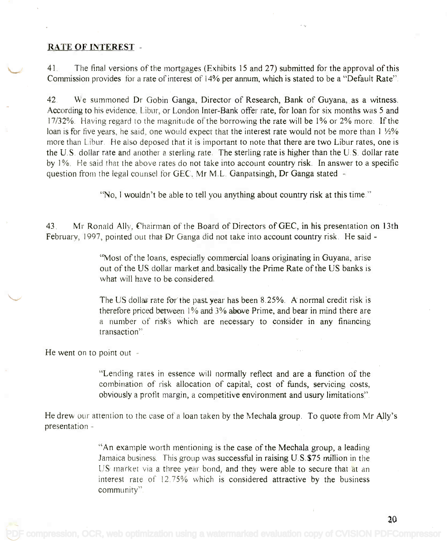#### RATE OF INTEREST -

41. The final versions of the mortgages (Exhibits 15 and 27) submitted for the approval of this 4]. The final versions of the mortgages (Exhibits ]5 and 27) submitted for the approval of this Commission provides for a rate of interest of 14% per annum, which is stated to be a "Default Rate". Commission provides for a rate of interest of 14% per annum, which is stated to be a "Default Rate".

42. We summoned Dr Gobin Ganga, Director of Research, Bank of Guyana, as a witness. 42. We summoned Dr Gobin Ganga, Director of Research, Bank of Guyana, as a witness. According to his evidence, Libur, or London Inter-Bank offer rate, for loan for six months was 5 and According to his evidence, Libur, or London Inter-Bank offer rate, for loan for six months was 5 and 17/32%. Having regard to the magnitude of the borrowing the rate will be 1% or 2% more. If the 17/32%. Having regard to the magnitude of the borrowing the rate will be 1% or 2% more. If the loan is for five years, he said, one would expect that the interest rate would not be more than  $1\ \mathrm{\%}$ % more than Libur. He also deposed that it is important to note that there are two Libur rates, one is more than Libur. He also deposed that it is important to note that there are two Libur rates, one is the U.S. dollar rate and another a sterling rate. The sterling rate is higher than the U.S. dollar rate by 1 %. He said that the above rates do not take into account country risk. In answer to a specific by 1%. He said that the above rate do not take into account country risk. **In** answer to a specific question from the legal counsel for GEC, Mr M.L. Ganpatsingh, Dr Ganga stated -

"No, I wouldn't be able to tell you anything about country risk at this time."

43. Mr Ronald Ally, Chairman of the Board of Directors of GEC, in his presentation on 13th 43. Mr Ronald Ally, fhairman of the Board of Directors of GEC, in his presentation on 13th February, 1997, pointed out that Dr Ganga did not take into account country risk. He said - February, 1997, pointed out that Dr Ganga did not take into account country risk. He said -

> "Most of the loans, especially commercial loans originating in Guyana, arise "Most of the loans, especially commercial loans originating in Guyana, arise out of the US dollar market and basically the Prime Rate of the US banks is what will have to be considered. what will have to be considered.

The US dollar rate for the past. year has been 8.25%. A normal credit risk is therefore priced between 1% and 3% above Prime, and bear in mind there are a number of risks which are necessary to consider in any financing a number of risks which are necessary to consider in any financing transaction ". transaction".

He went on to point out -

"Lending rates in essence will normally reflect and are a function of the "Lending rates in essence will normally reflect and are a function of the combination of risk allocation of capital, cost of funds, servicing costs, combination of risk allocation of capital, cost of funds, servicing costs, obviously a profit margin, a competitive environment and usury limitations ". obviously a profit margin, a competitive environment and usury limitations"

He drew our attention to the case of a loan taken by the Mechala group. To quote from Mr Ally's He drew our attention to the case of a loan taken by the Mechala group. To quote from Mr Ally's presentation - presentation -

> "An example worth mentioning is the case of the Mechala group, a leading "An example worth mentioning is the case of the Mechalfl. group, a leading Jamaica business. This group was successful in raising U.S.\$75 million in the Jamaica business. This group was successful in raising U. S.\$75 million in the US market via a three year bond, and they were able to secure that at an US market via a three year bond, and they were able to secure that at an interest rate of 12.75% which is considered attractive by the business interest rate of 12.75% which is considered attractive by the business community". community".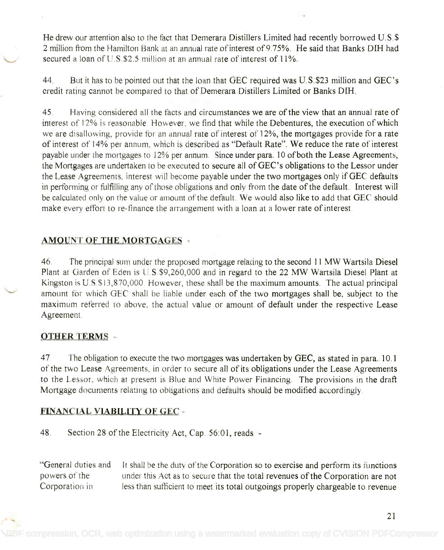He drew our attention also to the fact that Demerara Distillers Limited had recently borrowed U.S.\$ 2 million from the Hamilton Bank at an annual rate of interest of 9.75%. He said that Banks DIH had secured a loan of U.S.\$2.5 million at an annual rate of interest of  $11\%$ .

44. But it has to be pointed out that the loan that GEC required was U.S.\$23 million and GEC's credit rating cannot be compared to that of Demerara Distillers Limited or Banks DIH. credit rating cannot be compared to that of Demerara Distillers Limited or Banks DIH.

45. Having considered all the facts and circumstances we are of the view that an annual rate of 45. Having considered all the facts and circumstances we are of the view that an annual rate of interest of 12% is reasonable. However, we find that while the Debentures, the execution of which we are disallowing, provide for an annual rate of interest of 12%, the mortgages provide for a rate we are disallowing, provide for an annual rate of interest of 12%, the mortgages provide for a rate of interest of 14% per annum, which is described as "Default Rate". We reduce the rate of interest of interest of 14% per annum, which is described as "Default Rate". We reduce the rate of interest payable under the mortgages to 12% per annum. Since under para. 10 of both the Lease Agreements, payable under the mortgages to 12% per annum. Since under para. 10 of both the Lease Agreements, the Mortgages are undertaken to be executed to secure all of GEC's obligations to the Lessor under the Lease Agreements, interest will become payable under the two mortgages only if GEC defaults the Lease Agreements. interest will become payable under the two mortgages only if GEC defaults in performing or fulfilling any of those obligations and only from the date of the default. Interest will be calculated only on the value or amount of the default. We would also like to add that GEC should be calculated only on the value or amount of the default. We would also like to add that GEC should make every effort to re-finance the arrangement with a loan at a lower rate of interest. make every effort to re~finance the arrangement with a loan at a lower rate of interest.

## AMOUNT OF THE MORTGAGES

46. The principal sum under the proposed mortgage relating to the second 11 MW Wartsila Diesel 46, The principal sum under the proposed mortgage relating to the second 11 MW Wartsila Diesel Plant at Garden of Eden is U S \$9,260,000 and in regard to the 22 MW Wartsila Diesel Plant at Plant at Garden of Eden is U.S,\$9,260,OOO and in regard to the 22 MW Wartsila Diesel Plant at Kingston is U.S.\$13,870,000. However, these shall be the maximum amounts. The actual principal amount for which GEC shall be liable under each of the two mortgages shall be, subject to the maximum referred to above, the actual value or amount of default under the respective Lease maximum referred to above, the actual value or amount of default under the respective Lease Agreement. Agreement,

### OTHER TERMS -

47. The obligation to execute the two mortgages was undertaken by GEC, as stated in para. 10.1 of the two Lease Agreements, in order to secure all of its obligations under the Lease Agreements of the two Lease Agreements, in order to secure all of its obligations under the Lease Agreements to the Lessor, which at present is Blue and White Power Financing. The provisions in the draft to the Lessor, which at present is Blue and White Power Financing. The provisions in the draft Mortgage documents relating to obligations and defaults should be modified accordingly.

## FINANCIAL VIABILITY OF GEC -

48. Section 28 of the Electricity Act, Cap. 56:01, reads -

"General duties and It shall be the duty of the Corporation so to exercise and perform its functions powers of the under this Act as to secure that the total revenues of the Corporation are not under this Act as to secure that the total revenues of the Corporation are not Corporation in less than sufficient to meet its total outgoings properly chargeable to revenue "General duties and powers of the Corporation in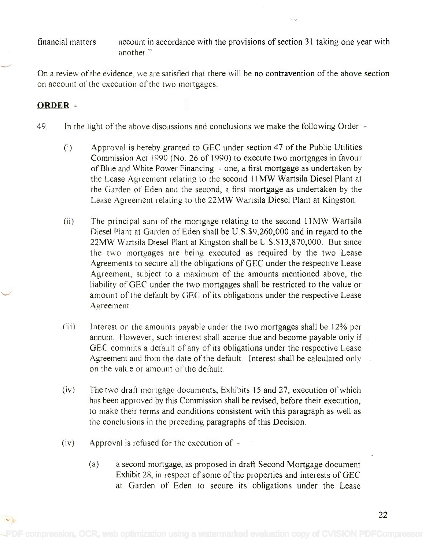financial matters account in accordance with the provisions of section 31 taking one year with another." another."

On a review of the evidence, we are satisfied that there will be no contravention of the above section On a review of the evidence, we are satisfied that there will be no contravention of the above section on account of the execution of the two mortgages. on account of the execution of the two mortgages.

## ORDER -

 $\langle \cdot \rangle$ 

- 49. In the light of the above discussions and conclusions we make the following Order -
	- Approval is hereby granted to GEC under section 47 of the Public Utilities (i) Approval is hereby granted to GEC under section 47 of the Public Utilities Commission Act 1990 (No. 26 of 1990) to execute two mortgages in favour Commission Act 1990 (No 26 of 1990) to execute two mortgages in favour of Blue and White Power Financing - one, a first mortgage as undertaken by of Blue and White Power Financing - one, a first mortgage as undertaken by the Lease Agreement relating to the second 11MW Wartsila Diesel Plant at the Lease Agreement relating to the second 11MW Wartsila Diesel Plant at the Garden of Eden and the second, a first mortgage as undertaken by the the Garden of Eden and the second, a first mortgage as undertaken by the Lease Agreement relating to the 22MW Wartsila Diesel Plant at Kingston. Lease Agreement relating to the 22MW Wartsila Diesel Plant at Kingston.
	- (ii) The principal sum of the mortgage relating to the second 11MW Wartsila (ii) The principal sum of the mortgage relating to the second 11MW Wartsila Diesel Plant at Garden of Eden shall be U.S.\$9,260,000 and in regard to the Diesel Plant at Garden of Eden shall be U.S.\$9,260,000 and in regard to the 22MW Wartsila Diesel Plant at Kingston shall be U.S.\$13,870,000. But since 22MW Wartsila Diesel Plant at Kingston shall be U.S.\$13,870,OOO. But since the two mortgages are being executed as required by the two Lease the two mortgages are being executed as required by the two Lease Agreements to secure all the obligations of GEC under the respective Lease Agreement, subject to a maximum of the amounts mentioned above, the Agreement, subject to a maximum of the amounts mentioned above, the liability of GEC under the two mortgages shall be restricted to the value or liability of GEC under the two mortgages shall be restricted to the value or amount of the default by GEC of its obligations under the respective Lease amount of the default by GEC of its obligations under the respective Lease Agreement. Agreement.
	- (iii) Interest on the amounts payable under the two mortgages shall be 12% per annum. However, such interest shall accrue due and become payable only if GEC commits a default of any of its obligations under the respective Lease Agreement and from the date of the default. Interest shall be calculated only on the value or amount of the default.
	- (iv) The two draft mortgage documents, Exhibits 15 and 27, execution of which has been approved by this Commission shall be revised, before their execution, to make their terms and conditions consistent with this paragraph as well as to make their terms and conditions consistent with this paragraph as well as the conclusions in the preceding paragraphs of this Decision. the conclusions in the preceding paragraphs of this Decision.
	- (iv) Approval is refused for the execution of
		- (a) a second mortgage, as proposed in draft Second Mortgage document (a) a second mortgage, as proposed in draft Second Mortgage document Exhibit 28, in respect of some of the properties and interests of GEC Exhibit 28. in respect of some of tht properties and interests of GEC at Garden of Eden to secure its obligations under the Lease at Garden of Eden to secure its obligations under the Lease